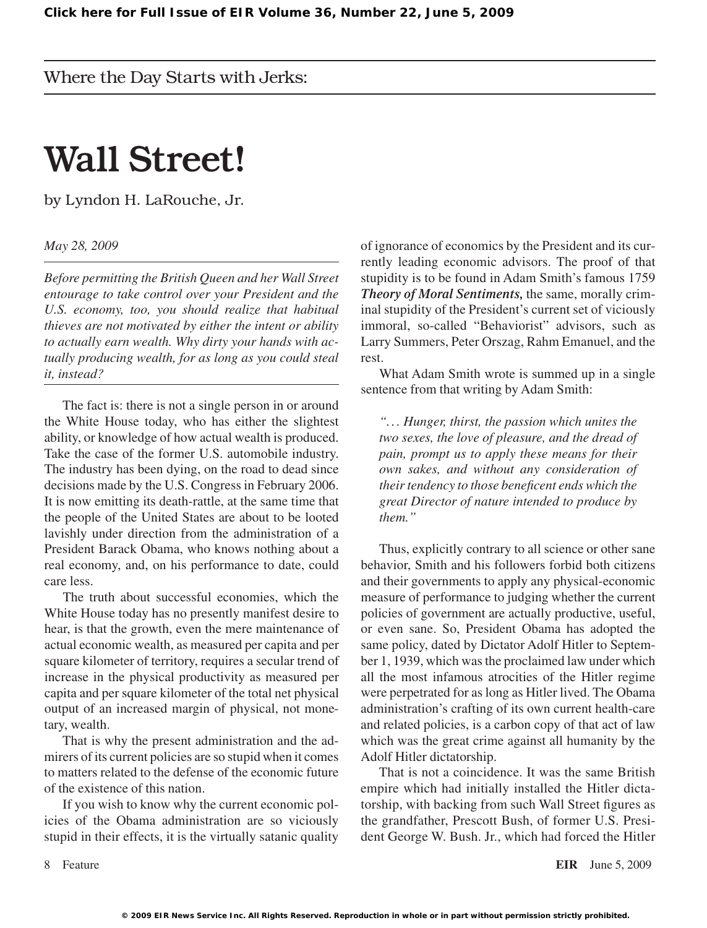## Wall Street!

by Lyndon H. LaRouche, Jr.

*May 28, 2009*

*Before permitting the British Queen and her Wall Street entourage to take control over your President and the U.S. economy, too, you should realize that habitual thieves are not motivated by either the intent or ability to actually earn wealth. Why dirty your hands with actually producing wealth, for as long as you could steal it, instead?*

The fact is: there is not a single person in or around the White House today, who has either the slightest ability, or knowledge of how actual wealth is produced. Take the case of the former U.S. automobile industry. The industry has been dying, on the road to dead since decisions made by the U.S. Congress in February 2006. It is now emitting its death-rattle, at the same time that the people of the United States are about to be looted lavishly under direction from the administration of a President Barack Obama, who knows nothing about a real economy, and, on his performance to date, could care less.

The truth about successful economies, which the White House today has no presently manifest desire to hear, is that the growth, even the mere maintenance of actual economic wealth, as measured per capita and per square kilometer of territory, requires a secular trend of increase in the physical productivity as measured per capita and per square kilometer of the total net physical output of an increased margin of physical, not monetary, wealth.

That is why the present administration and the admirers of its current policies are so stupid when it comes to matters related to the defense of the economic future of the existence of this nation.

If you wish to know why the current economic policies of the Obama administration are so viciously stupid in their effects, it is the virtually satanic quality

of ignorance of economics by the President and its currently leading economic advisors. The proof of that stupidity is to be found in Adam Smith's famous 1759 *Theory of Moral Sentiments,* the same, morally criminal stupidity of the President's current set of viciously immoral, so-called "Behaviorist" advisors, such as Larry Summers, Peter Orszag, Rahm Emanuel, and the rest.

What Adam Smith wrote is summed up in a single sentence from that writing by Adam Smith:

*"... Hunger, thirst, the passion which unites the two sexes, the love of pleasure, and the dread of pain, prompt us to apply these means for their own sakes, and without any consideration of their tendency to those beneficent ends which the great Director of nature intended to produce by them."*

Thus, explicitly contrary to all science or other sane behavior, Smith and his followers forbid both citizens and their governments to apply any physical-economic measure of performance to judging whether the current policies of government are actually productive, useful, or even sane. So, President Obama has adopted the same policy, dated by Dictator Adolf Hitler to September 1, 1939, which was the proclaimed law under which all the most infamous atrocities of the Hitler regime were perpetrated for as long as Hitler lived. The Obama administration's crafting of its own current health-care and related policies, is a carbon copy of that act of law which was the great crime against all humanity by the Adolf Hitler dictatorship.

That is not a coincidence. It was the same British empire which had initially installed the Hitler dictatorship, with backing from such Wall Street figures as the grandfather, Prescott Bush, of former U.S. President George W. Bush. Jr., which had forced the Hitler

Feature **EIR** June 5, 2009